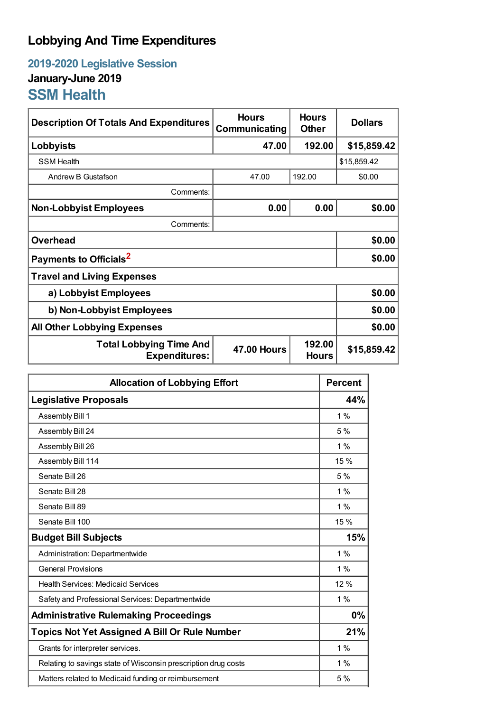## **Lobbying And Time Expenditures**

## **2019-2020 Legislative Session January-June 2019 SSM Health**

| <b>Description Of Totals And Expenditures</b>          | <b>Hours</b><br>Communicating | <b>Hours</b><br><b>Other</b> | <b>Dollars</b> |
|--------------------------------------------------------|-------------------------------|------------------------------|----------------|
| Lobbyists                                              | 47.00                         | 192.00                       | \$15,859.42    |
| <b>SSM Health</b>                                      |                               |                              | \$15,859.42    |
| Andrew B Gustafson                                     | 47.00                         | 192.00                       | \$0.00         |
| Comments:                                              |                               |                              |                |
| <b>Non-Lobbyist Employees</b>                          | 0.00                          | 0.00                         | \$0.00         |
| Comments:                                              |                               |                              |                |
| <b>Overhead</b>                                        |                               |                              | \$0.00         |
| Payments to Officials <sup>2</sup>                     | \$0.00                        |                              |                |
| <b>Travel and Living Expenses</b>                      |                               |                              |                |
| a) Lobbyist Employees                                  | \$0.00                        |                              |                |
| b) Non-Lobbyist Employees                              |                               |                              | \$0.00         |
| <b>All Other Lobbying Expenses</b>                     |                               |                              | \$0.00         |
| <b>Total Lobbying Time And</b><br><b>Expenditures:</b> | <b>47.00 Hours</b>            | 192.00<br><b>Hours</b>       | \$15,859.42    |

| <b>Allocation of Lobbying Effort</b>                           |       |
|----------------------------------------------------------------|-------|
| <b>Legislative Proposals</b>                                   | 44%   |
| Assembly Bill 1                                                | 1%    |
| Assembly Bill 24                                               | 5%    |
| Assembly Bill 26                                               | $1\%$ |
| Assembly Bill 114                                              | 15 %  |
| Senate Bill 26                                                 | 5 %   |
| Senate Bill 28                                                 | $1\%$ |
| Senate Bill 89                                                 | $1\%$ |
| Senate Bill 100                                                | 15 %  |
| <b>Budget Bill Subjects</b>                                    | 15%   |
| Administration: Departmentwide                                 | $1\%$ |
| <b>General Provisions</b>                                      | $1\%$ |
| <b>Health Services: Medicaid Services</b>                      | 12 %  |
| Safety and Professional Services: Departmentwide               | 1%    |
| <b>Administrative Rulemaking Proceedings</b>                   | 0%    |
| <b>Topics Not Yet Assigned A Bill Or Rule Number</b>           | 21%   |
| Grants for interpreter services.                               | 1%    |
| Relating to savings state of Wisconsin prescription drug costs | $1\%$ |
| Matters related to Medicaid funding or reimbursement           | 5%    |